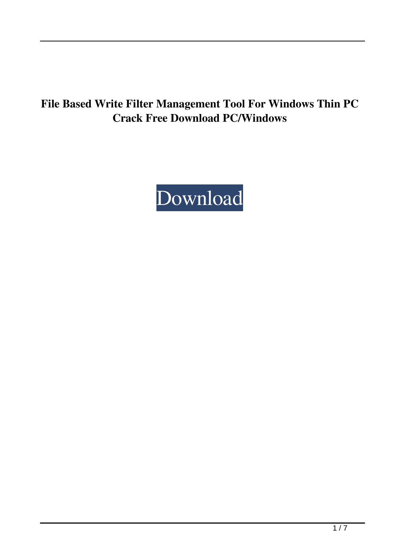# **File Based Write Filter Management Tool For Windows Thin PC Crack Free Download PC/Windows**

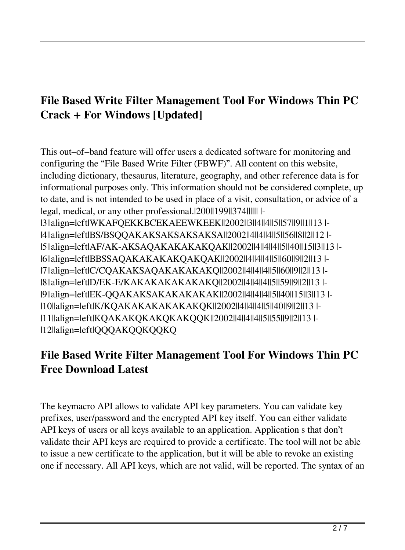# **File Based Write Filter Management Tool For Windows Thin PC Crack + For Windows [Updated]**

This out–of–band feature will offer users a dedicated software for monitoring and configuring the "File Based Write Filter (FBWF)". All content on this website, including dictionary, thesaurus, literature, geography, and other reference data is for informational purposes only. This information should not be considered complete, up to date, and is not intended to be used in place of a visit, consultation, or advice of a legal, medical, or any other professional.|200||199||374|||||| |- |3||align=left|WKAFQEKKBCEKAEEWKEEK||2002||3||4||4||5||57||9||1||13 |- |4||align=left|BS/BSQQAKAKSAKSAKSAKSA||2002||4||4||4||5||56||8||2||12 |- |5||align=left|AF/AK-AKSAQAKAKAKAKQAK||2002||4||4||4||5||40||15||3||13 |- |6||align=left|BBSSAQAKAKAKAKQAKQAK||2002||4||4||4||5||60||9||2||13 |- |7||align=left|C/CQAKAKSAQAKAKAKAKQ||2002||4||4||4||5||60||9||2||13 |- |8||align=left|D/EK-E/KAKAKAKAKAKAKQ||2002||4||4||4||5||59||9||2||13 |- |9||align=left|EK-QQAKAKSAKAKAKAKAK||2002||4||4||4||5||40||15||3||13 |- |10||align=left|K/KQAKAKAKAKAKAKQK||2002||4||4||4||5||40||9||2||13 |- |11||align=left|KQAKAKQKAKQKAKQQK||2002||4||4||4||5||55||9||2||13 |- |12||align=left|QQQAKQQKQQKQ

## **File Based Write Filter Management Tool For Windows Thin PC Free Download Latest**

The keymacro API allows to validate API key parameters. You can validate key prefixes, user/password and the encrypted API key itself. You can either validate API keys of users or all keys available to an application. Application s that don't validate their API keys are required to provide a certificate. The tool will not be able to issue a new certificate to the application, but it will be able to revoke an existing one if necessary. All API keys, which are not valid, will be reported. The syntax of an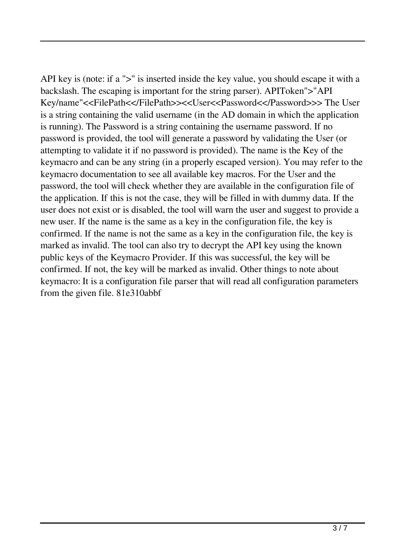API key is (note: if a ">" is inserted inside the key value, you should escape it with a backslash. The escaping is important for the string parser). APIToken">"API Key/name"<<FilePath<</FilePath>><<User<<Password<</Password>>> The User is a string containing the valid username (in the AD domain in which the application is running). The Password is a string containing the username password. If no password is provided, the tool will generate a password by validating the User (or attempting to validate it if no password is provided). The name is the Key of the keymacro and can be any string (in a properly escaped version). You may refer to the keymacro documentation to see all available key macros. For the User and the password, the tool will check whether they are available in the configuration file of the application. If this is not the case, they will be filled in with dummy data. If the user does not exist or is disabled, the tool will warn the user and suggest to provide a new user. If the name is the same as a key in the configuration file, the key is confirmed. If the name is not the same as a key in the configuration file, the key is marked as invalid. The tool can also try to decrypt the API key using the known public keys of the Keymacro Provider. If this was successful, the key will be confirmed. If not, the key will be marked as invalid. Other things to note about keymacro: It is a configuration file parser that will read all configuration parameters from the given file. 81e310abbf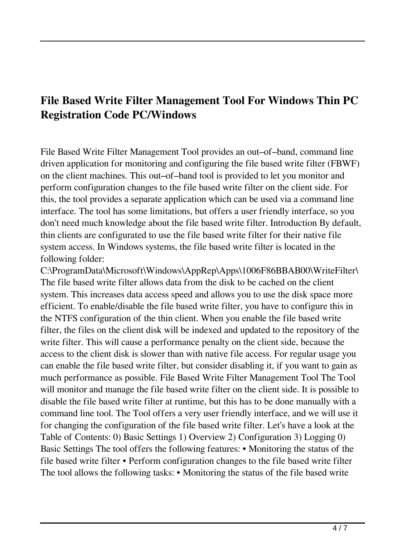## **File Based Write Filter Management Tool For Windows Thin PC Registration Code PC/Windows**

File Based Write Filter Management Tool provides an out–of–band, command line driven application for monitoring and configuring the file based write filter (FBWF) on the client machines. This out–of–band tool is provided to let you monitor and perform configuration changes to the file based write filter on the client side. For this, the tool provides a separate application which can be used via a command line interface. The tool has some limitations, but offers a user friendly interface, so you don't need much knowledge about the file based write filter. Introduction By default, thin clients are configurated to use the file based write filter for their native file system access. In Windows systems, the file based write filter is located in the following folder:

C:\ProgramData\Microsoft\Windows\AppRep\Apps\1006F86BBAB00\WriteFilter\ The file based write filter allows data from the disk to be cached on the client system. This increases data access speed and allows you to use the disk space more efficient. To enable/disable the file based write filter, you have to configure this in the NTFS configuration of the thin client. When you enable the file based write filter, the files on the client disk will be indexed and updated to the repository of the write filter. This will cause a performance penalty on the client side, because the access to the client disk is slower than with native file access. For regular usage you can enable the file based write filter, but consider disabling it, if you want to gain as much performance as possible. File Based Write Filter Management Tool The Tool will monitor and manage the file based write filter on the client side. It is possible to disable the file based write filter at runtime, but this has to be done manually with a command line tool. The Tool offers a very user friendly interface, and we will use it for changing the configuration of the file based write filter. Let's have a look at the Table of Contents: 0) Basic Settings 1) Overview 2) Configuration 3) Logging 0) Basic Settings The tool offers the following features: • Monitoring the status of the file based write filter • Perform configuration changes to the file based write filter The tool allows the following tasks: • Monitoring the status of the file based write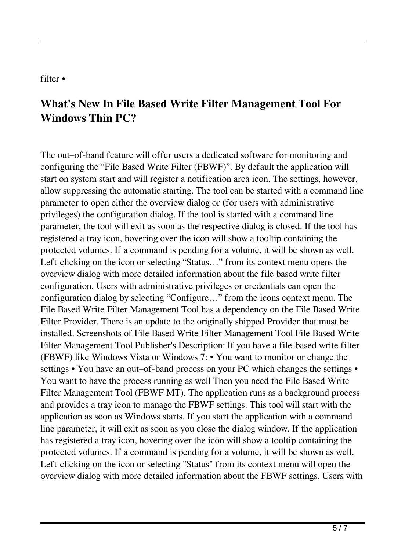#### filter •

## **What's New In File Based Write Filter Management Tool For Windows Thin PC?**

The out–of-band feature will offer users a dedicated software for monitoring and configuring the "File Based Write Filter (FBWF)". By default the application will start on system start and will register a notification area icon. The settings, however, allow suppressing the automatic starting. The tool can be started with a command line parameter to open either the overview dialog or (for users with administrative privileges) the configuration dialog. If the tool is started with a command line parameter, the tool will exit as soon as the respective dialog is closed. If the tool has registered a tray icon, hovering over the icon will show a tooltip containing the protected volumes. If a command is pending for a volume, it will be shown as well. Left-clicking on the icon or selecting "Status…" from its context menu opens the overview dialog with more detailed information about the file based write filter configuration. Users with administrative privileges or credentials can open the configuration dialog by selecting "Configure…" from the icons context menu. The File Based Write Filter Management Tool has a dependency on the File Based Write Filter Provider. There is an update to the originally shipped Provider that must be installed. Screenshots of File Based Write Filter Management Tool File Based Write Filter Management Tool Publisher's Description: If you have a file-based write filter (FBWF) like Windows Vista or Windows 7: • You want to monitor or change the settings • You have an out–of-band process on your PC which changes the settings • You want to have the process running as well Then you need the File Based Write Filter Management Tool (FBWF MT). The application runs as a background process and provides a tray icon to manage the FBWF settings. This tool will start with the application as soon as Windows starts. If you start the application with a command line parameter, it will exit as soon as you close the dialog window. If the application has registered a tray icon, hovering over the icon will show a tooltip containing the protected volumes. If a command is pending for a volume, it will be shown as well. Left-clicking on the icon or selecting "Status" from its context menu will open the overview dialog with more detailed information about the FBWF settings. Users with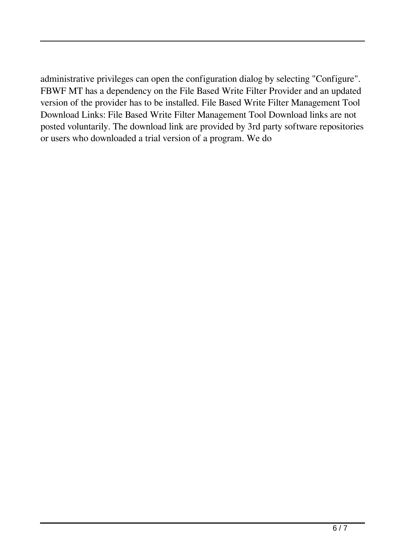administrative privileges can open the configuration dialog by selecting "Configure". FBWF MT has a dependency on the File Based Write Filter Provider and an updated version of the provider has to be installed. File Based Write Filter Management Tool Download Links: File Based Write Filter Management Tool Download links are not posted voluntarily. The download link are provided by 3rd party software repositories or users who downloaded a trial version of a program. We do